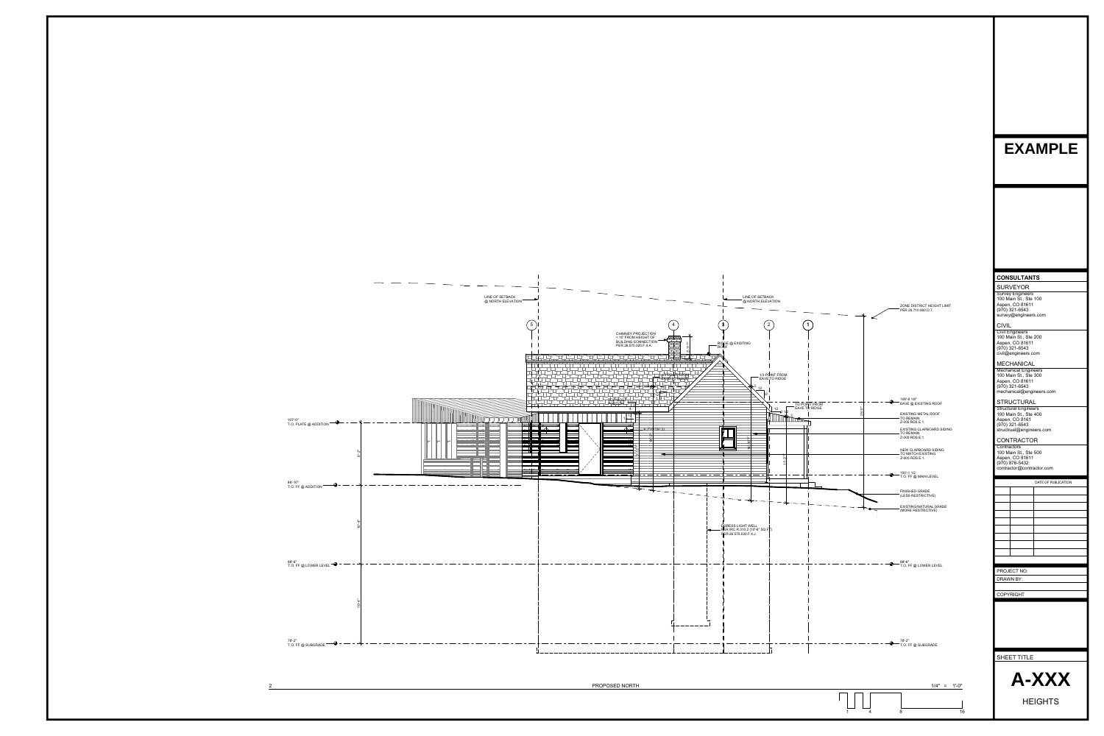107'-0"

T.O. PLATE @ ADDITION

 $\overbrace{10^{-4}}^{10^{-4}}$   $\overbrace{10^{-4}}^{10^{-4}}$   $\overbrace{10^{-4}}^{10^{-4}}$ 

98'-10" T.O. FF @ ADDITION 88'-6" T.O. FF @ LOWER LEVEL 78'-2" T.O. FF @ SUBGRADE

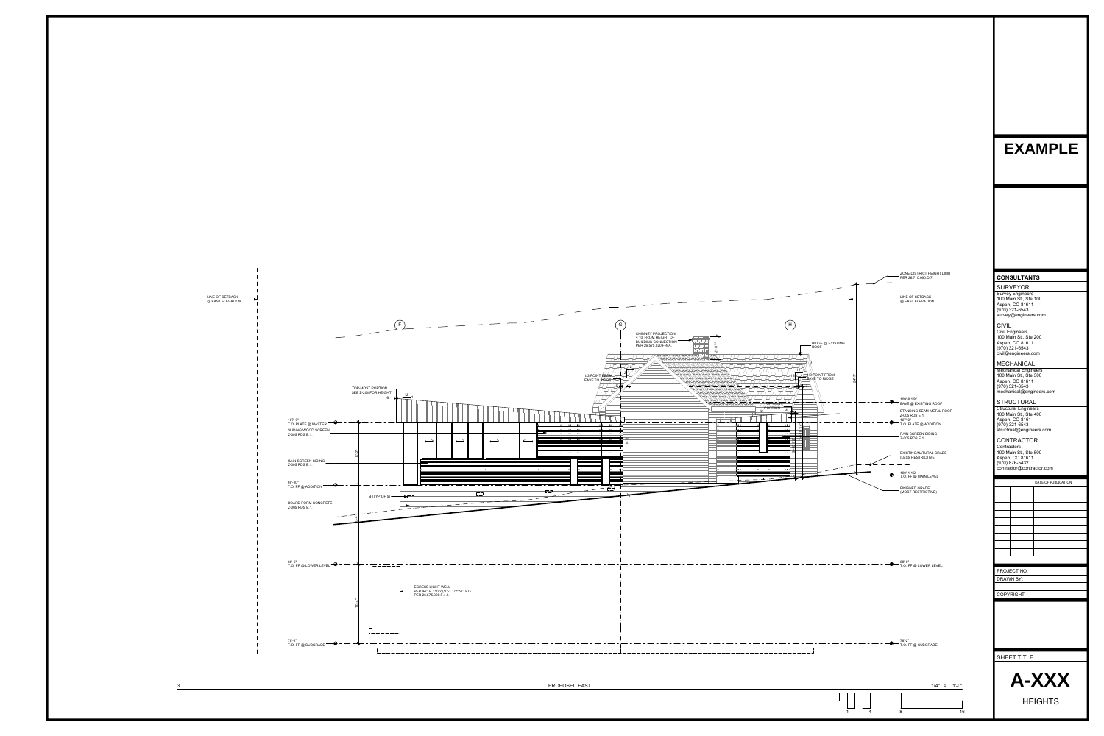LINE OF SETBACK @ EAST ELEVATION

107'-0" T.O. PLATE @ MASTER SLIDING WOOD SCREEN Z-005 RDS E.1.  $\frac{1}{2}$  10'-4"  $\frac{1}{2}$   $\frac{1}{2}$   $\frac{1}{2}$   $\frac{1}{2}$   $\frac{1}{2}$   $\frac{1}{2}$   $\frac{1}{2}$   $\frac{1}{2}$   $\frac{1}{2}$   $\frac{1}{2}$   $\frac{1}{2}$   $\frac{1}{2}$   $\frac{1}{2}$   $\frac{1}{2}$   $\frac{1}{2}$   $\frac{1}{2}$   $\frac{1}{2}$   $\frac{1}{2}$   $\frac{1}{2}$   $\frac{1}{2}$   $\frac{$ RAIN SCREEN SIDING Z-005 RDS E.1. 98'-10" T.O. FF @ ADDITION BOARD FORM CONCRETE Z-005 RDS E.1.  $-$ 88'-6" - --- -T.O. FF @ LOWER LEVEL ————— 78'-2" T.O. FF @ SUBGRADE

## SEE Z-204 FOR HEIGHT TOP-MOST PORTION

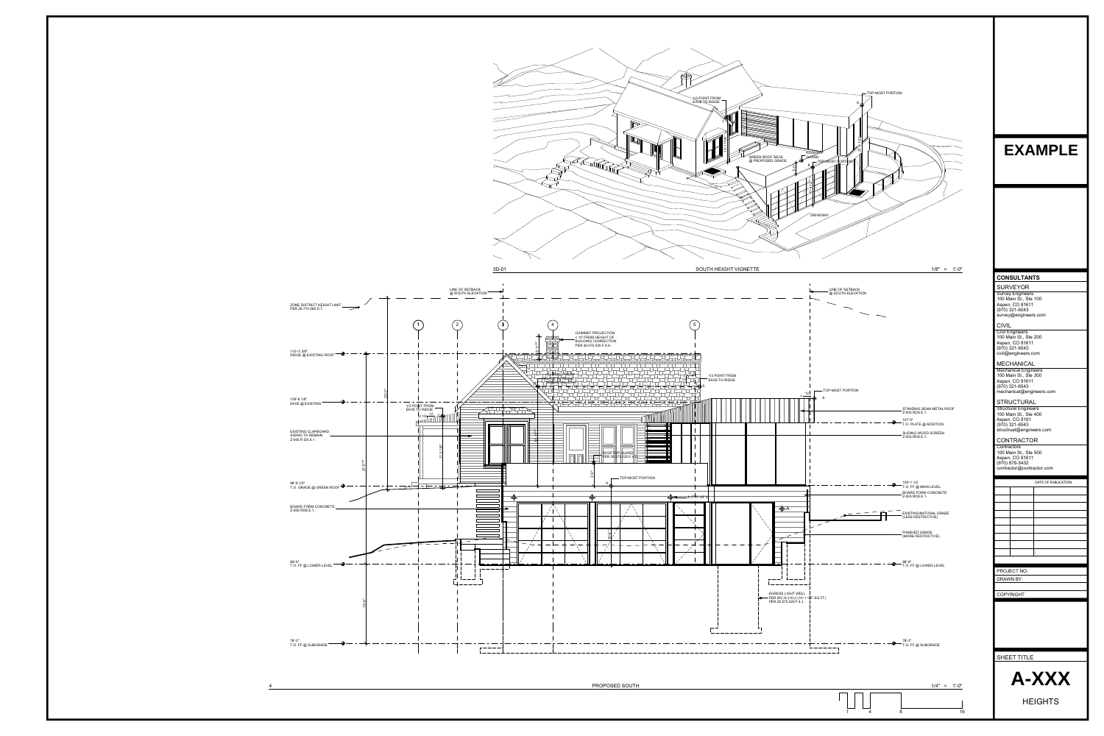ZONE DISTRICT HEIGHT LIMIT PER 26.710.060.D.7. 115-11 5/8" RIDGE @ EXISTING ROOF 109'-8 1/8"  $\overline{\phantom{a}}$   $\overline{\phantom{a}}$   $\overline{\phantom{a}}$   $\overline{\phantom{a}}$   $\overline{\phantom{a}}$ EAVE @ EXISTING EXISTING CLAPBOARD SIDING TO REMAIN Z-005 R DS E.1. 3/8"  $10^{1.4}$ " 27'-5 98'-8 1/2"  $\overline{\phantom{0}}$ T.O. GRADE @ GREEN ROOF BOARD FORM CONCRETE Z-005 RDS E.1. 88'-6" T.O. FF @ LOWER LEVEL 78'-2" T.O. FF @ SUBGRADE

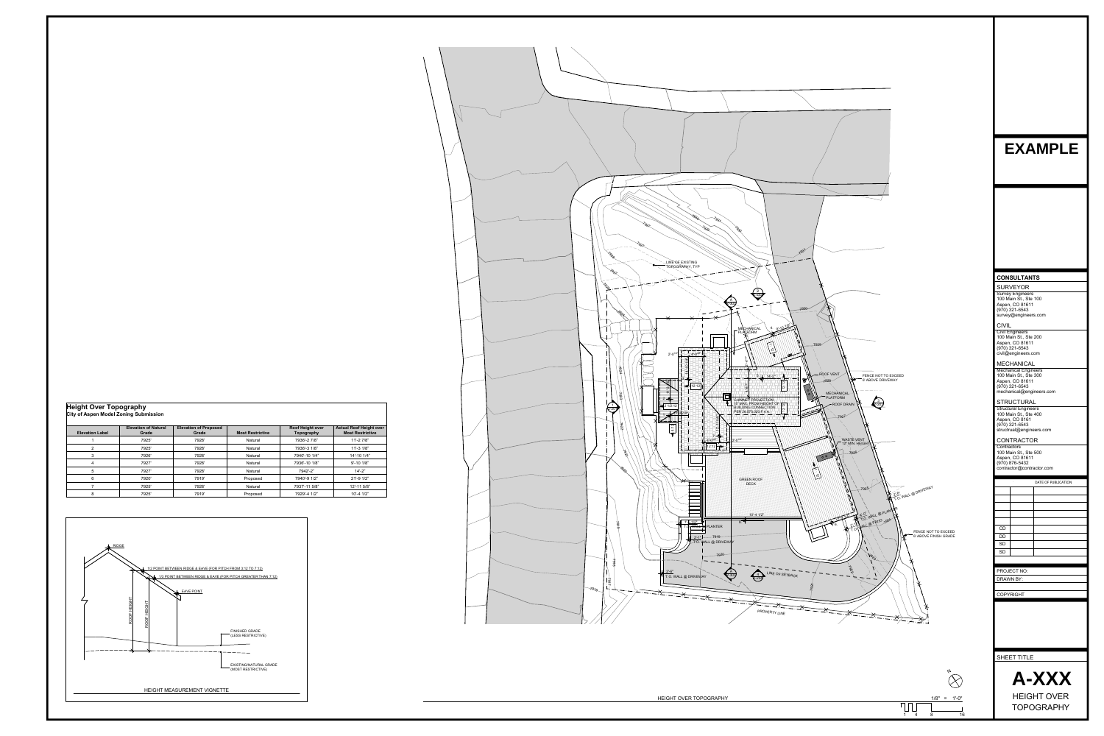| <b>Height Over Topography</b>                |  |
|----------------------------------------------|--|
| <b>City of Aspen Model Zoning Submission</b> |  |



| <b>Elevation Label</b> | <b>Elevation of Natural</b><br>Grade | <b>Elevation of Proposed</b><br>Grade | <b>Most Restrictive</b> | <b>Roof Height over</b><br>Topography | <b>Actual Roof Height over</b><br><b>Most Restrictive</b> |
|------------------------|--------------------------------------|---------------------------------------|-------------------------|---------------------------------------|-----------------------------------------------------------|
|                        | 7925'                                | 7928'                                 | Natural                 | 7936'-2 7/8"                          | 11'-2 7/8"                                                |
| $\overline{2}$         | 7925'                                | 7928'                                 | Natural                 | 7936'-3 1/8"                          | $11'-3$ $1/8"$                                            |
| 3                      | 7926'                                | 7928'                                 | Natural                 | 7940'-10 1/4"                         | 14'-10 1/4"                                               |
| 4                      | 7927'                                | 7928'                                 | Natural                 | 7936'-10 1/8"                         | $9' - 10$ $1/8"$                                          |
| 5                      | 7927'                                | 7928'                                 | Natural                 | 7942'-2"                              | $14 - 2$ "                                                |
| 6                      | 7920'                                | 7919'                                 | Proposed                | 7940'-9 1/2"                          | 21'-9 1/2"                                                |
|                        | 7925'                                | 7928'                                 | Natural                 | 7937'-11 5/8"                         | 12'-11 5/8"                                               |
| 8                      | 7925'                                | 7919'                                 | Proposed                | 7929'-4 1/2"                          | $10' - 4$ $1/2"$                                          |

![](_page_3_Figure_3.jpeg)